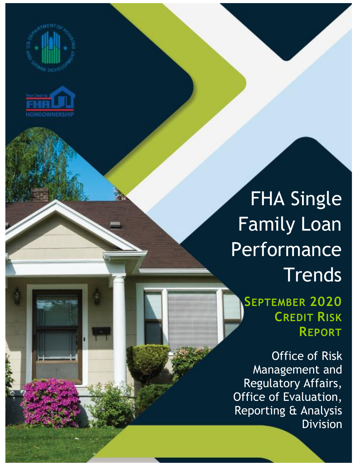



FHA Single Family Loan Performance **Trends** 

**SEPTEMBER 2020 CREDIT RISK REPORT**

Office of Risk Management and Regulatory Affairs, Office of Evaluation, Reporting & Analysis Division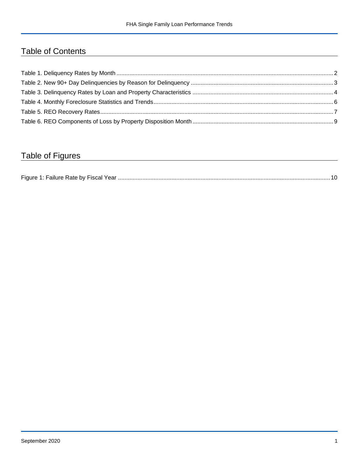## Table of Contents

## Table of Figures

| Figure 1<br>Failure Rate by Fiscal Year. |  |
|------------------------------------------|--|
|------------------------------------------|--|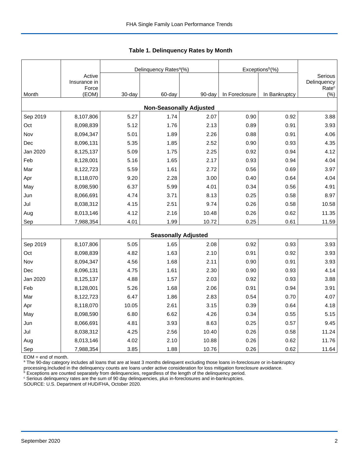|          |                                 |        | Delinquency Rates <sup>a</sup> (%) |        | Exceptions <sup>b</sup> (%) |               |                                             |
|----------|---------------------------------|--------|------------------------------------|--------|-----------------------------|---------------|---------------------------------------------|
|          | Active<br>Insurance in<br>Force |        |                                    |        |                             |               | Serious<br>Delinquency<br>Rate <sup>c</sup> |
| Month    | (EOM)                           | 30-day | 60-day                             | 90-day | In Foreclosure              | In Bankruptcy | (% )                                        |
|          |                                 |        | <b>Non-Seasonally Adjusted</b>     |        |                             |               |                                             |
| Sep 2019 | 8,107,806                       | 5.27   | 1.74                               | 2.07   | 0.90                        | 0.92          | 3.88                                        |
| Oct      | 8,098,839                       | 5.12   | 1.76                               | 2.13   | 0.89                        | 0.91          | 3.93                                        |
| Nov      | 8,094,347                       | 5.01   | 1.89                               | 2.26   | 0.88                        | 0.91          | 4.06                                        |
| Dec      | 8,096,131                       | 5.35   | 1.85                               | 2.52   | 0.90                        | 0.93          | 4.35                                        |
| Jan 2020 | 8,125,137                       | 5.09   | 1.75                               | 2.25   | 0.92                        | 0.94          | 4.12                                        |
| Feb      | 8,128,001                       | 5.16   | 1.65                               | 2.17   | 0.93                        | 0.94          | 4.04                                        |
| Mar      | 8,122,723                       | 5.59   | 1.61                               | 2.72   | 0.56                        | 0.69          | 3.97                                        |
| Apr      | 8,118,070                       | 9.20   | 2.28                               | 3.00   | 0.40                        | 0.64          | 4.04                                        |
| May      | 8,098,590                       | 6.37   | 5.99                               | 4.01   | 0.34                        | 0.56          | 4.91                                        |
| Jun      | 8,066,691                       | 4.74   | 3.71                               | 8.13   | 0.25                        | 0.58          | 8.97                                        |
| Jul      | 8,038,312                       | 4.15   | 2.51                               | 9.74   | 0.26                        | 0.58          | 10.58                                       |
| Aug      | 8,013,146                       | 4.12   | 2.16                               | 10.48  | 0.26                        | 0.62          | 11.35                                       |
| Sep      | 7,988,354                       | 4.01   | 1.99                               | 10.72  | 0.25                        | 0.61          | 11.59                                       |
|          |                                 |        | <b>Seasonally Adjusted</b>         |        |                             |               |                                             |
| Sep 2019 | 8,107,806                       | 5.05   | 1.65                               | 2.08   | 0.92                        | 0.93          | 3.93                                        |
| Oct      | 8,098,839                       | 4.82   | 1.63                               | 2.10   | 0.91                        | 0.92          | 3.93                                        |
| Nov      | 8,094,347                       | 4.56   | 1.68                               | 2.11   | 0.90                        | 0.91          | 3.93                                        |
| Dec      | 8,096,131                       | 4.75   | 1.61                               | 2.30   | 0.90                        | 0.93          | 4.14                                        |
| Jan 2020 | 8,125,137                       | 4.88   | 1.57                               | 2.03   | 0.92                        | 0.93          | 3.88                                        |
| Feb      | 8,128,001                       | 5.26   | 1.68                               | 2.06   | 0.91                        | 0.94          | 3.91                                        |
| Mar      | 8,122,723                       | 6.47   | 1.86                               | 2.83   | 0.54                        | 0.70          | 4.07                                        |
| Apr      | 8,118,070                       | 10.05  | 2.61                               | 3.15   | 0.39                        | 0.64          | 4.18                                        |
| May      | 8,098,590                       | 6.80   | 6.62                               | 4.26   | 0.34                        | 0.55          | 5.15                                        |
| Jun      | 8,066,691                       | 4.81   | 3.93                               | 8.63   | 0.25                        | 0.57          | 9.45                                        |
| Jul      | 8,038,312                       | 4.25   | 2.56                               | 10.40  | 0.26                        | 0.58          | 11.24                                       |
| Aug      | 8,013,146                       | 4.02   | 2.10                               | 10.88  | 0.26                        | 0.62          | 11.76                                       |
| Sep      | 7,988,354                       | 3.85   | 1.88                               | 10.76  | 0.26                        | 0.62          | 11.64                                       |

<span id="page-2-0"></span>**Table 1. Delinquency Rates by Month**

EOM = end of month.

<sup>a</sup> The 90-day category includes all loans that are at least 3 months delinquent excluding those loans in-foreclosure or in-bankruptcy

processing.Included in the delinquency counts are loans under active consideration for loss mitigation foreclosure avoidance.

 $b$  Exceptions are counted separately from delinquencies, regardless of the length of the delinquency period.

<sup>c</sup> Serious delinquency rates are the sum of 90 day delinquencies, plus in-foreclosures and in-bankruptcies.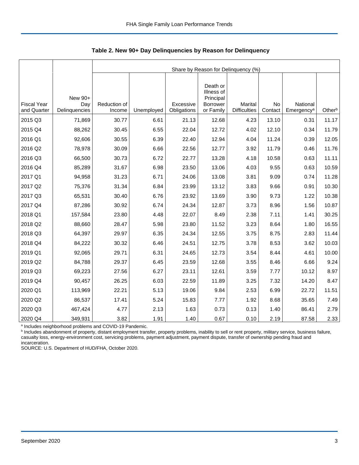|                                   |                      |                        | Share by Reason for Delinquency (%) |                          |                              |                                |               |                                    |        |  |  |  |
|-----------------------------------|----------------------|------------------------|-------------------------------------|--------------------------|------------------------------|--------------------------------|---------------|------------------------------------|--------|--|--|--|
|                                   |                      |                        |                                     |                          |                              |                                |               |                                    |        |  |  |  |
|                                   |                      |                        |                                     |                          | Death or<br>Illness of       |                                |               |                                    |        |  |  |  |
|                                   | New 90+              |                        |                                     |                          | Principal                    |                                |               |                                    |        |  |  |  |
| <b>Fiscal Year</b><br>and Quarter | Day<br>Delinquencies | Reduction of<br>Income | Unemployed                          | Excessive<br>Obligations | <b>Borrower</b><br>or Family | Marital<br><b>Difficulties</b> | No<br>Contact | National<br>Emergency <sup>a</sup> | Otherb |  |  |  |
| 2015 Q3                           | 71,869               | 30.77                  | 6.61                                | 21.13                    | 12.68                        | 4.23                           | 13.10         | 0.31                               | 11.17  |  |  |  |
| 2015 Q4                           | 88,262               | 30.45                  | 6.55                                | 22.04                    | 12.72                        | 4.02                           | 12.10         | 0.34                               | 11.79  |  |  |  |
| 2016 Q1                           | 92,606               | 30.55                  | 6.39                                | 22.40                    | 12.94                        | 4.04                           | 11.24         | 0.39                               | 12.05  |  |  |  |
| 2016 Q2                           | 78,978               | 30.09                  | 6.66                                | 22.56                    | 12.77                        | 3.92                           | 11.79         | 0.46                               | 11.76  |  |  |  |
| 2016 Q3                           | 66,500               | 30.73                  | 6.72                                | 22.77                    | 13.28                        | 4.18                           | 10.58         | 0.63                               | 11.11  |  |  |  |
| 2016 Q4                           | 85,289               | 31.67                  | 6.98                                | 23.50                    | 13.06                        | 4.03                           | 9.55          | 0.63                               | 10.59  |  |  |  |
| 2017 Q1                           | 94,958               | 31.23                  | 6.71                                | 24.06                    | 13.08                        | 3.81                           | 9.09          | 0.74                               | 11.28  |  |  |  |
| 2017 Q2                           |                      | 31.34                  | 6.84                                | 23.99                    | 13.12                        | 3.83                           | 9.66          | 0.91                               | 10.30  |  |  |  |
|                                   | 75,376               |                        |                                     |                          |                              |                                |               |                                    |        |  |  |  |
| 2017 Q3                           | 65,531               | 30.40                  | 6.76                                | 23.92                    | 13.69                        | 3.90                           | 9.73          | 1.22                               | 10.38  |  |  |  |
| 2017 Q4                           | 87,286               | 30.92                  | 6.74                                | 24.34                    | 12.87                        | 3.73                           | 8.96          | 1.56                               | 10.87  |  |  |  |
| 2018 Q1                           | 157,584              | 23.80                  | 4.48                                | 22.07                    | 8.49                         | 2.38                           | 7.11          | 1.41                               | 30.25  |  |  |  |
| 2018 Q2                           | 88,660               | 28.47                  | 5.98                                | 23.80                    | 11.52                        | 3.23                           | 8.64          | 1.80                               | 16.55  |  |  |  |
| 2018 Q3                           | 64,397               | 29.97                  | 6.35                                | 24.34                    | 12.55                        | 3.75                           | 8.75          | 2.83                               | 11.44  |  |  |  |
| 2018 Q4                           | 84,222               | 30.32                  | 6.46                                | 24.51                    | 12.75                        | 3.78                           | 8.53          | 3.62                               | 10.03  |  |  |  |
| 2019 Q1                           | 92,065               | 29.71                  | 6.31                                | 24.65                    | 12.73                        | 3.54                           | 8.44          | 4.61                               | 10.00  |  |  |  |
| 2019 Q2                           | 84,788               | 29.37                  | 6.45                                | 23.59                    | 12.68                        | 3.55                           | 8.46          | 6.66                               | 9.24   |  |  |  |
| 2019 Q3                           | 69,223               | 27.56                  | 6.27                                | 23.11                    | 12.61                        | 3.59                           | 7.77          | 10.12                              | 8.97   |  |  |  |
| 2019 Q4                           | 90,457               | 26.25                  | 6.03                                | 22.59                    | 11.89                        | 3.25                           | 7.32          | 14.20                              | 8.47   |  |  |  |
| 2020 Q1                           | 113,969              | 22.21                  | 5.13                                | 19.06                    | 9.84                         | 2.53                           | 6.99          | 22.72                              | 11.51  |  |  |  |
| 2020 Q2                           | 86,537               | 17.41                  | 5.24                                | 15.83                    | 7.77                         | 1.92                           | 8.68          | 35.65                              | 7.49   |  |  |  |
| 2020 Q3                           | 467,424              | 4.77                   | 2.13                                | 1.63                     | 0.73                         | 0.13                           | 1.40          | 86.41                              | 2.79   |  |  |  |
| 2020 Q4                           | 349,931              | 3.82                   | 1.91                                | 1.40                     | 0.67                         | 0.10                           | 2.19          | 87.58                              | 2.33   |  |  |  |

<span id="page-3-0"></span>**Table 2. New 90+ Day Delinquencies by Reason for Delinquency**

a Includes neighborhood problems and COVID-19 Pandemic.

**b** Includes abandonment of property, distant employment transfer, property problems, inability to sell or rent property, military service, business failure, casualty loss, energy-environment cost, servicing problems, payment adjustment, payment dispute, transfer of ownership pending fraud and incarceration.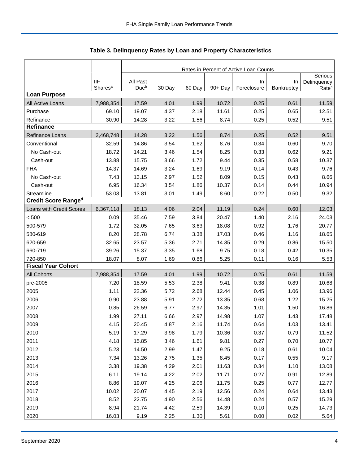|                                                                              |                                                                                | Rates in Percent of Active Loan Counts                                                |                                                                              |                                                                              |                                                                                    |                                                                              |                                                                              |                                                                                      |  |
|------------------------------------------------------------------------------|--------------------------------------------------------------------------------|---------------------------------------------------------------------------------------|------------------------------------------------------------------------------|------------------------------------------------------------------------------|------------------------------------------------------------------------------------|------------------------------------------------------------------------------|------------------------------------------------------------------------------|--------------------------------------------------------------------------------------|--|
|                                                                              | <b>IIF</b>                                                                     | All Past                                                                              |                                                                              |                                                                              |                                                                                    | In                                                                           | In                                                                           | Serious<br>Delinquency                                                               |  |
|                                                                              | Shares <sup>a</sup>                                                            | Due <sup>b</sup>                                                                      | 30 Day                                                                       | 60 Day                                                                       | 90+ Day                                                                            | Foreclosure                                                                  | Bankruptcy                                                                   | Rate <sup>c</sup>                                                                    |  |
| <b>Loan Purpose</b>                                                          |                                                                                |                                                                                       |                                                                              |                                                                              |                                                                                    |                                                                              |                                                                              |                                                                                      |  |
| All Active Loans                                                             | 7,988,354                                                                      | 17.59                                                                                 | 4.01                                                                         | 1.99                                                                         | 10.72                                                                              | 0.25                                                                         | 0.61                                                                         | 11.59                                                                                |  |
| Purchase                                                                     | 69.10                                                                          | 19.07                                                                                 | 4.37                                                                         | 2.18                                                                         | 11.61                                                                              | 0.25                                                                         | 0.65                                                                         | 12.51                                                                                |  |
| Refinance                                                                    | 30.90                                                                          | 14.28                                                                                 | 3.22                                                                         | 1.56                                                                         | 8.74                                                                               | 0.25                                                                         | 0.52                                                                         | 9.51                                                                                 |  |
| Refinance                                                                    |                                                                                |                                                                                       |                                                                              |                                                                              |                                                                                    |                                                                              |                                                                              |                                                                                      |  |
| Refinance Loans                                                              | 2,468,748                                                                      | 14.28                                                                                 | 3.22                                                                         | 1.56                                                                         | 8.74                                                                               | 0.25                                                                         | 0.52                                                                         | 9.51                                                                                 |  |
| Conventional                                                                 | 32.59                                                                          | 14.86                                                                                 | 3.54                                                                         | 1.62                                                                         | 8.76                                                                               | 0.34                                                                         | 0.60                                                                         | 9.70                                                                                 |  |
| No Cash-out                                                                  | 18.72                                                                          | 14.21                                                                                 | 3.46                                                                         | 1.54                                                                         | 8.25                                                                               | 0.33                                                                         | 0.62                                                                         | 9.21                                                                                 |  |
| Cash-out                                                                     | 13.88                                                                          | 15.75                                                                                 | 3.66                                                                         | 1.72                                                                         | 9.44                                                                               | 0.35                                                                         | 0.58                                                                         | 10.37                                                                                |  |
| <b>FHA</b>                                                                   | 14.37                                                                          | 14.69                                                                                 | 3.24                                                                         | 1.69                                                                         | 9.19                                                                               | 0.14                                                                         | 0.43                                                                         | 9.76                                                                                 |  |
| No Cash-out                                                                  | 7.43                                                                           | 13.15                                                                                 | 2.97                                                                         | 1.52                                                                         | 8.09                                                                               | 0.15                                                                         | 0.43                                                                         | 8.66                                                                                 |  |
| Cash-out                                                                     | 6.95                                                                           | 16.34                                                                                 | 3.54                                                                         | 1.86                                                                         | 10.37                                                                              | 0.14                                                                         | 0.44                                                                         | 10.94                                                                                |  |
| Streamline                                                                   | 53.03                                                                          | 13.81                                                                                 | 3.01                                                                         | 1.49                                                                         | 8.60                                                                               | 0.22                                                                         | 0.50                                                                         | 9.32                                                                                 |  |
| <b>Credit Score Ranged</b>                                                   |                                                                                |                                                                                       |                                                                              |                                                                              |                                                                                    |                                                                              |                                                                              |                                                                                      |  |
| Loans with Credit Scores                                                     | 6,367,118                                                                      | 18.13                                                                                 | 4.06                                                                         | 2.04                                                                         | 11.19                                                                              | 0.24                                                                         | 0.60                                                                         | 12.03                                                                                |  |
| < 500                                                                        | 0.09                                                                           | 35.46                                                                                 | 7.59                                                                         | 3.84                                                                         | 20.47                                                                              | 1.40                                                                         | 2.16                                                                         | 24.03                                                                                |  |
| 500-579                                                                      | 1.72                                                                           | 32.05                                                                                 | 7.65                                                                         | 3.63                                                                         | 18.08                                                                              | 0.92                                                                         | 1.76                                                                         | 20.77                                                                                |  |
| 580-619                                                                      | 8.20                                                                           | 28.78                                                                                 | 6.74                                                                         | 3.38                                                                         | 17.03                                                                              | 0.46                                                                         | 1.16                                                                         | 18.65                                                                                |  |
| 620-659                                                                      | 32.65                                                                          | 23.57                                                                                 | 5.36                                                                         | 2.71                                                                         | 14.35                                                                              | 0.29                                                                         | 0.86                                                                         | 15.50                                                                                |  |
| 660-719                                                                      | 39.26                                                                          | 15.37                                                                                 | 3.35                                                                         | 1.68                                                                         | 9.75                                                                               | 0.18                                                                         | 0.42                                                                         | 10.35                                                                                |  |
| 720-850                                                                      | 18.07                                                                          | 8.07                                                                                  | 1.69                                                                         | 0.86                                                                         | 5.25                                                                               | 0.11                                                                         | 0.16                                                                         | 5.53                                                                                 |  |
| <b>Fiscal Year Cohort</b>                                                    |                                                                                |                                                                                       |                                                                              |                                                                              |                                                                                    |                                                                              |                                                                              |                                                                                      |  |
| <b>All Cohorts</b>                                                           | 7,988,354                                                                      | 17.59                                                                                 | 4.01                                                                         | 1.99                                                                         | 10.72                                                                              | 0.25                                                                         | 0.61                                                                         | 11.59                                                                                |  |
| pre-2005                                                                     | 7.20                                                                           | 18.59                                                                                 | 5.53                                                                         | 2.38                                                                         | 9.41                                                                               | 0.38                                                                         | 0.89                                                                         | 10.68                                                                                |  |
| 2005                                                                         | 1.11                                                                           | 22.36                                                                                 | 5.72                                                                         | 2.68                                                                         | 12.44                                                                              | 0.45                                                                         | 1.06                                                                         | 13.96                                                                                |  |
| 2006                                                                         | 0.90                                                                           | 23.88                                                                                 | 5.91                                                                         | 2.72                                                                         | 13.35                                                                              | 0.68                                                                         | 1.22                                                                         | 15.25                                                                                |  |
| 2007                                                                         | 0.85                                                                           | 26.59                                                                                 | 6.77                                                                         | 2.97                                                                         | 14.35                                                                              | 1.01                                                                         | 1.50                                                                         | 16.86                                                                                |  |
| 2008                                                                         | 1.99                                                                           | 27.11                                                                                 | 6.66                                                                         | 2.97                                                                         | 14.98                                                                              | 1.07                                                                         | 1.43                                                                         | 17.48                                                                                |  |
| 2009                                                                         | 4.15                                                                           | 20.45                                                                                 | 4.87                                                                         | 2.16                                                                         | 11.74                                                                              | 0.64                                                                         | 1.03                                                                         | 13.41                                                                                |  |
| 2010                                                                         | 5.19                                                                           | 17.29                                                                                 | 3.98                                                                         | 1.79                                                                         | 10.36                                                                              | 0.37                                                                         | 0.79                                                                         | 11.52                                                                                |  |
|                                                                              |                                                                                |                                                                                       |                                                                              |                                                                              |                                                                                    |                                                                              |                                                                              |                                                                                      |  |
|                                                                              |                                                                                |                                                                                       |                                                                              |                                                                              |                                                                                    |                                                                              |                                                                              |                                                                                      |  |
|                                                                              |                                                                                |                                                                                       |                                                                              |                                                                              |                                                                                    |                                                                              |                                                                              |                                                                                      |  |
|                                                                              |                                                                                |                                                                                       |                                                                              |                                                                              |                                                                                    |                                                                              |                                                                              |                                                                                      |  |
|                                                                              |                                                                                |                                                                                       |                                                                              |                                                                              |                                                                                    |                                                                              |                                                                              |                                                                                      |  |
|                                                                              |                                                                                |                                                                                       |                                                                              |                                                                              |                                                                                    |                                                                              |                                                                              |                                                                                      |  |
|                                                                              |                                                                                |                                                                                       |                                                                              |                                                                              |                                                                                    |                                                                              |                                                                              |                                                                                      |  |
|                                                                              |                                                                                |                                                                                       |                                                                              |                                                                              |                                                                                    |                                                                              |                                                                              |                                                                                      |  |
|                                                                              |                                                                                |                                                                                       |                                                                              |                                                                              |                                                                                    |                                                                              |                                                                              |                                                                                      |  |
|                                                                              |                                                                                |                                                                                       |                                                                              |                                                                              |                                                                                    |                                                                              |                                                                              |                                                                                      |  |
| 2011<br>2012<br>2013<br>2014<br>2015<br>2016<br>2017<br>2018<br>2019<br>2020 | 4.18<br>5.23<br>7.34<br>3.38<br>6.11<br>8.86<br>10.02<br>8.52<br>8.94<br>16.03 | 15.85<br>14.50<br>13.26<br>19.38<br>19.14<br>19.07<br>20.07<br>22.75<br>21.74<br>9.19 | 3.46<br>2.99<br>2.75<br>4.29<br>4.22<br>4.25<br>4.45<br>4.90<br>4.42<br>2.25 | 1.61<br>1.47<br>1.35<br>2.01<br>2.02<br>2.06<br>2.19<br>2.56<br>2.59<br>1.30 | 9.81<br>9.25<br>8.45<br>11.63<br>11.71<br>11.75<br>12.56<br>14.48<br>14.39<br>5.61 | 0.27<br>0.18<br>0.17<br>0.34<br>0.27<br>0.25<br>0.24<br>0.24<br>0.10<br>0.00 | 0.70<br>0.61<br>0.55<br>1.10<br>0.91<br>0.77<br>0.64<br>0.57<br>0.25<br>0.02 | 10.77<br>10.04<br>9.17<br>13.08<br>12.89<br>12.77<br>13.43<br>15.29<br>14.73<br>5.64 |  |

<span id="page-4-0"></span>Table 3. Delinquency Rates by Loan and Property Characteristics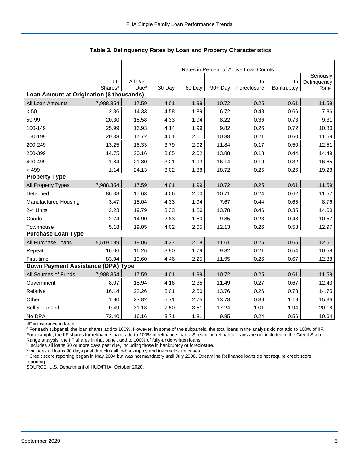|                                           |                                   |                              |        |        |         | Rates in Percent of Active Loan Counts |                  |                                  |
|-------------------------------------------|-----------------------------------|------------------------------|--------|--------|---------|----------------------------------------|------------------|----------------------------------|
|                                           |                                   |                              |        |        |         |                                        |                  | Seriously                        |
|                                           | <b>IIF</b><br>Shares <sup>a</sup> | All Past<br>Due <sup>b</sup> | 30 Day | 60 Day | 90+ Day | $\ln$<br>Foreclosure                   | In<br>Bankruptcy | Delinquency<br>Rate <sup>c</sup> |
| Loan Amount at Origination (\$ thousands) |                                   |                              |        |        |         |                                        |                  |                                  |
| All Loan Amounts                          | 7,988,354                         | 17.59                        | 4.01   | 1.99   | 10.72   | 0.25                                   | 0.61             | 11.59                            |
| < 50                                      | 2.36                              | 14.33                        | 4.58   | 1.89   | 6.72    | 0.48                                   | 0.66             | 7.86                             |
| 50-99                                     | 20.30                             | 15.58                        | 4.33   | 1.94   | 8.22    | 0.36                                   | 0.73             | 9.31                             |
| 100-149                                   | 25.99                             | 16.93                        | 4.14   | 1.99   | 9.82    | 0.26                                   | 0.72             | 10.80                            |
| 150-199                                   | 20.38                             | 17.72                        | 4.01   | 2.01   | 10.88   | 0.21                                   | 0.60             | 11.69                            |
| 200-249                                   | 13.25                             | 18.33                        | 3.79   | 2.02   | 11.84   | 0.17                                   | 0.50             | 12.51                            |
| 250-399                                   | 14.75                             | 20.16                        | 3.65   | 2.02   | 13.88   | 0.18                                   | 0.44             | 14.49                            |
| 400-499                                   | 1.84                              | 21.80                        | 3.21   | 1.93   | 16.14   | 0.19                                   | 0.32             | 16.65                            |
| >499                                      | 1.14                              | 24.13                        | 3.02   | 1.88   | 18.72   | 0.25                                   | 0.26             | 19.23                            |
| <b>Property Type</b>                      |                                   |                              |        |        |         |                                        |                  |                                  |
| All Property Types                        | 7,988,354                         | 17.59                        | 4.01   | 1.99   | 10.72   | 0.25                                   | 0.61             | 11.59                            |
| Detached                                  | 86.38                             | 17.63                        | 4.06   | 2.00   | 10.71   | 0.24                                   | 0.62             | 11.57                            |
| <b>Manufactured Housing</b>               | 3.47                              | 15.04                        | 4.33   | 1.94   | 7.67    | 0.44                                   | 0.65             | 8.76                             |
| 2-4 Units                                 | 2.23                              | 19.79                        | 3.33   | 1.86   | 13.78   | 0.46                                   | 0.35             | 14.60                            |
| Condo                                     | 2.74                              | 14.90                        | 2.83   | 1.50   | 9.85    | 0.23                                   | 0.48             | 10.57                            |
| Townhouse                                 | 5.18                              | 19.05                        | 4.02   | 2.05   | 12.13   | 0.26                                   | 0.58             | 12.97                            |
| <b>Purchase Loan Type</b>                 |                                   |                              |        |        |         |                                        |                  |                                  |
| All Purchase Loans                        | 5,519,199                         | 19.06                        | 4.37   | 2.18   | 11.61   | 0.25                                   | 0.65             | 12.51                            |
| Repeat                                    | 16.06                             | 16.26                        | 3.90   | 1.79   | 9.82    | 0.21                                   | 0.54             | 10.58                            |
| First-time                                | 83.94                             | 19.60                        | 4.46   | 2.25   | 11.95   | 0.26                                   | 0.67             | 12.88                            |
| Down Payment Assistance (DPA) Type        |                                   |                              |        |        |         |                                        |                  |                                  |
| All Sources of Funds                      | 7,988,354                         | 17.59                        | 4.01   | 1.99   | 10.72   | 0.25                                   | 0.61             | 11.59                            |
| Government                                | 8.07                              | 18.94                        | 4.16   | 2.35   | 11.49   | 0.27                                   | 0.67             | 12.43                            |
| Relative                                  | 16.14                             | 22.26                        | 5.01   | 2.50   | 13.76   | 0.26                                   | 0.73             | 14.75                            |
| Other                                     | 1.90                              | 23.82                        | 5.71   | 2.75   | 13.78   | 0.39                                   | 1.19             | 15.36                            |
| Seller Funded                             | 0.49                              | 31.18                        | 7.50   | 3.51   | 17.24   | 1.01                                   | 1.94             | 20.18                            |
| No DPA                                    | 73.40                             | 16.16                        | 3.71   | 1.81   | 9.85    | 0.24                                   | 0.56             | 10.64                            |

**Table 3. Delinquency Rates by Loan and Property Characteristics**

IIF = insurance in force.

<sup>a</sup> For each subpanel, the loan shares add to 100%. However, in some of the subpanels, the total loans in the analysis do not add to 100% of IIF. For example, the IIF shares for refinance loans add to 100% of refinance loans. Streamline refinance loans are not included in the Credit Score

Range analysis; the IIF shares in that panel, add to 100% of fully-underwritten loans.<br><sup>b</sup> Includes all loans 30 or more days past due, including those in bankruptcy or foreclosure.

c Includes all loans 90 days past due plus all in-bankruptcy and in-foreclosure cases.

<sup>d</sup> Credit score reporting began in May 2004 but was not mandatory until July 2008. Streamline Refinance loans do not require credit score reporting.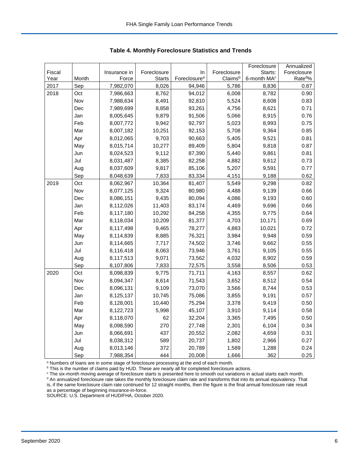|        |       |              |               |                          |             | Foreclosure             | Annualized          |
|--------|-------|--------------|---------------|--------------------------|-------------|-------------------------|---------------------|
| Fiscal |       | Insurance in | Foreclosure   | In                       | Foreclosure | Starts:                 | Foreclosure         |
| Year   | Month | Force        | <b>Starts</b> | Foreclosure <sup>a</sup> | Claimsb     | 6-month MA <sup>c</sup> | Rate <sup>d</sup> % |
| 2017   | Sep   | 7,982,070    | 8,026         | 94,946                   | 5,786       | 8,836                   | 0.87                |
| 2018   | Oct   | 7,986,663    | 8,762         | 94,012                   | 6,008       | 8,782                   | 0.90                |
|        | Nov   | 7,988,634    | 8,491         | 92,810                   | 5,524       | 8,608                   | 0.83                |
|        | Dec   | 7,989,699    | 8,858         | 93,261                   | 4,756       | 8,621                   | 0.71                |
|        | Jan   | 8,005,645    | 9,879         | 91,506                   | 5,066       | 8,915                   | 0.76                |
|        | Feb   | 8,007,772    | 9,942         | 92,797                   | 5,023       | 8,993                   | 0.75                |
|        | Mar   | 8,007,182    | 10,251        | 92,153                   | 5,708       | 9,364                   | 0.85                |
|        | Apr   | 8,012,065    | 9,703         | 90,663                   | 5,405       | 9,521                   | 0.81                |
|        | May   | 8,015,714    | 10,277        | 89,409                   | 5,804       | 9,818                   | 0.87                |
|        | Jun   | 8,024,523    | 9,112         | 87,390                   | 5,440       | 9,861                   | 0.81                |
|        | Jul   | 8,031,487    | 8,385         | 82,258                   | 4,882       | 9,612                   | 0.73                |
|        | Aug   | 8,037,609    | 9,817         | 85,106                   | 5,207       | 9,591                   | 0.77                |
|        | Sep   | 8,048,639    | 7,833         | 83,334                   | 4,151       | 9,188                   | 0.62                |
| 2019   | Oct   | 8,062,967    | 10,364        | 81,407                   | 5,549       | 9,298                   | 0.82                |
|        | Nov   | 8,077,125    | 9,324         | 80,980                   | 4,488       | 9,139                   | 0.66                |
|        | Dec   | 8,086,151    | 9,435         | 80,094                   | 4,086       | 9,193                   | 0.60                |
|        | Jan   | 8,112,026    | 11,403        | 83,174                   | 4,469       | 9,696                   | 0.66                |
|        | Feb   | 8,117,180    | 10,292        | 84,258                   | 4,355       | 9,775                   | 0.64                |
|        | Mar   | 8,118,034    | 10,209        | 81,377                   | 4,703       | 10,171                  | 0.69                |
|        | Apr   | 8,117,498    | 9,465         | 78,277                   | 4,883       | 10,021                  | 0.72                |
|        | May   | 8,114,839    | 8,885         | 76,321                   | 3,984       | 9,948                   | 0.59                |
|        | Jun   | 8,114,665    | 7,717         | 74,502                   | 3,746       | 9,662                   | 0.55                |
|        | Jul   | 8,116,418    | 8,063         | 73,946                   | 3,761       | 9,105                   | 0.55                |
|        | Aug   | 8,117,513    | 9,071         | 73,562                   | 4,032       | 8,902                   | 0.59                |
|        | Sep   | 8,107,806    | 7,833         | 72,575                   | 3,558       | 8,506                   | 0.53                |
| 2020   | Oct   | 8,098,839    | 9,775         | 71,711                   | 4,163       | 8,557                   | 0.62                |
|        | Nov   | 8,094,347    | 8,614         | 71,543                   | 3,652       | 8,512                   | 0.54                |
|        | Dec   | 8,096,131    | 9,109         | 73,070                   | 3,566       | 8,744                   | 0.53                |
|        | Jan   | 8,125,137    | 10,745        | 75,086                   | 3,855       | 9,191                   | 0.57                |
|        | Feb   | 8,128,001    | 10,440        | 75,294                   | 3,378       | 9,419                   | 0.50                |
|        | Mar   | 8,122,723    | 5,998         | 45,107                   | 3,910       | 9,114                   | 0.58                |
|        | Apr   | 8,118,070    | 62            | 32,204                   | 3,365       | 7,495                   | 0.50                |
|        | May   | 8,098,590    | 270           | 27,748                   | 2,301       | 6,104                   | 0.34                |
|        | Jun   | 8,066,691    | 437           | 20,552                   | 2,082       | 4,659                   | 0.31                |
|        | Jul   | 8,038,312    | 589           | 20,737                   | 1,802       | 2,966                   | 0.27                |
|        | Aug   | 8,013,146    | 372           | 20,789                   | 1,589       | 1,288                   | 0.24                |
|        | Sep   | 7,988,354    | 444           | 20,008                   | 1,666       | 362                     | 0.25                |

<span id="page-6-0"></span>**Table 4. Monthly Foreclosure Statistics and Trends**

<sup>a</sup> Numbers of loans are in some stage of foreclosure processing at the end of each month.

b This is the number of claims paid by HUD. These are nearly all for completed foreclosure actions.

<sup>c</sup> The six-month moving average of foreclosure starts is presented here to smooth out variations in actual starts each month. <sup>d</sup> An annualized foreclosure rate takes the monthly foreclosure claim rate and transforms that into its annual equivalency. That is, if the same foreclosure claim rate continued for 12 straight months, then the figure is the final annual foreclosure rate result as a percentage of beginning insurance-in-force.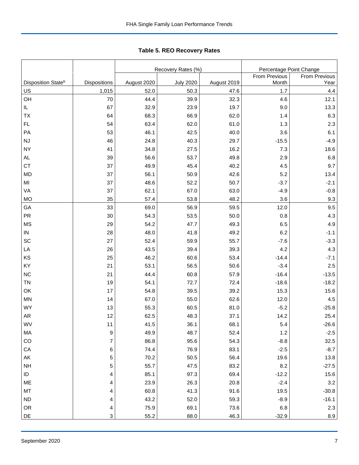|                                |                |             | Recovery Rates (%) | Percentage Point Change |               |               |  |
|--------------------------------|----------------|-------------|--------------------|-------------------------|---------------|---------------|--|
|                                |                |             |                    |                         | From Previous | From Previous |  |
| Disposition State <sup>b</sup> | Dispositions   | August 2020 | <b>July 2020</b>   | August 2019             | Month         | Year          |  |
| US                             | 1,015          | 52.0        | 50.3               | 47.6                    | 1.7           | 4.4           |  |
| OH                             | 70             | 44.4        | 39.9               | 32.3                    | 4.6           | 12.1          |  |
| IL.                            | 67             | 32.9        | 23.9               | 19.7                    | 9.0           | 13.3          |  |
| TX                             | 64             | 68.3        | 66.9               | 62.0                    | 1.4           | 6.3           |  |
| FL                             | 54             | 63.4        | 62.0               | 61.0                    | 1.3           | 2.3           |  |
| PA                             | 53             | 46.1        | 42.5               | 40.0                    | 3.6           | 6.1           |  |
| <b>NJ</b>                      | 46             | 24.8        | 40.3               | 29.7                    | $-15.5$       | $-4.9$        |  |
| <b>NY</b>                      | 41             | 34.8        | 27.5               | 16.2                    | 7.3           | 18.6          |  |
| <b>AL</b>                      | 39             | 56.6        | 53.7               | 49.8                    | 2.9           | 6.8           |  |
| <b>CT</b>                      | 37             | 49.9        | 45.4               | 40.2                    | 4.5           | 9.7           |  |
| MD                             | 37             | 56.1        | 50.9               | 42.6                    | 5.2           | 13.4          |  |
| MI                             | 37             | 48.6        | 52.2               | 50.7                    | $-3.7$        | $-2.1$        |  |
| VA                             | 37             | 62.1        | 67.0               | 63.0                    | $-4.9$        | $-0.8$        |  |
| <b>MO</b>                      | 35             | 57.4        | 53.8               | 48.2                    | 3.6           | 9.3           |  |
| GA                             | 33             | 69.0        | 56.9               | 59.5                    | 12.0          | 9.5           |  |
| <b>PR</b>                      | 30             | 54.3        | 53.5               | 50.0                    | 0.8           | 4.3           |  |
| <b>MS</b>                      | 29             | 54.2        | 47.7               | 49.3                    | 6.5           | 4.9           |  |
| ${\sf IN}$                     | 28             | 48.0        | 41.8               | 49.2                    | 6.2           | $-1.1$        |  |
| SC                             | 27             | 52.4        | 59.9               | 55.7                    | $-7.6$        | $-3.3$        |  |
| LA                             | 26             | 43.5        | 39.4               | 39.3                    | 4.2           | 4.3           |  |
| KS                             | 25             | 46.2        | 60.6               | 53.4                    | $-14.4$       | $-7.1$        |  |
| KY                             | 21             | 53.1        | 56.5               | 50.6                    | $-3.4$        | 2.5           |  |
| <b>NC</b>                      | 21             | 44.4        | 60.8               | 57.9                    | $-16.4$       | $-13.5$       |  |
| <b>TN</b>                      | 19             | 54.1        | 72.7               | 72.4                    | $-18.6$       | $-18.2$       |  |
| OK                             | 17             | 54.8        | 39.5               | 39.2                    | 15.3          | 15.6          |  |
| MN                             | 14             | 67.0        | 55.0               | 62.6                    | 12.0          | 4.5           |  |
| <b>WY</b>                      | 13             | 55.3        | 60.5               | 81.0                    | $-5.2$        | $-25.8$       |  |
| <b>AR</b>                      | 12             | 62.5        | 48.3               | 37.1                    | 14.2          | 25.4          |  |
| WV                             | 11             | 41.5        | 36.1               | 68.1                    | 5.4           | $-26.6$       |  |
| МA                             | 9              | 49.9        | 48.7               | 52.4                    | $1.2$         | $-2.5$        |  |
| CO                             | $\overline{7}$ | 86.8        | 95.6               | 54.3                    | $-8.8$        | 32.5          |  |
| CA                             | 6              | 74.4        | 76.9               | 83.1                    | $-2.5$        | $-8.7$        |  |
| AK                             | 5              | 70.2        | $50.5\,$           | 56.4                    | 19.6          | 13.8          |  |
| <b>NH</b>                      | 5              | 55.7        | 47.5               | 83.2                    | 8.2           | $-27.5$       |  |
| ID                             | 4              | 85.1        | 97.3               | 69.4                    | $-12.2$       | 15.6          |  |
| ME                             | 4              | 23.9        | 26.3               | 20.8                    | $-2.4$        | 3.2           |  |
| MT                             | 4              | 60.8        | 41.3               | 91.6                    | 19.5          | $-30.8$       |  |
| <b>ND</b>                      | 4              | 43.2        | 52.0               | 59.3                    | $-8.9$        | $-16.1$       |  |
| OR                             | 4              | 75.9        | 69.1               | 73.6                    | 6.8           | $2.3\,$       |  |
| DE                             | 3              | 55.2        | 88.0               | 46.3                    | $-32.9$       | 8.9           |  |

<span id="page-7-0"></span>Tabl e 5. REO R ecovery R ates **Table 5. REO Recovery Rates**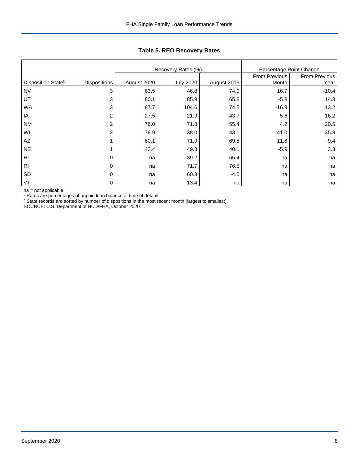|                                |                     |             | Recovery Rates (%) | Percentage Point Change |               |               |  |
|--------------------------------|---------------------|-------------|--------------------|-------------------------|---------------|---------------|--|
|                                |                     |             |                    |                         | From Previous | From Previous |  |
| Disposition State <sup>b</sup> | <b>Dispositions</b> | August 2020 | <b>July 2020</b>   | August 2019             | Month         | Year          |  |
| <b>NV</b>                      | 3                   | 63.5        | 46.8               | 74.0                    | 16.7          | $-10.4$       |  |
| UT                             | 3                   | 80.1        | 85.9               | 65.8                    | $-5.8$        | 14.3          |  |
| <b>WA</b>                      | 3                   | 87.7        | 104.6              | 74.5                    | $-16.9$       | 13.2          |  |
| IA                             | $\overline{2}$      | 27.5        | 21.9               | 43.7                    | 5.6           | $-16.2$       |  |
| <b>NM</b>                      | 2                   | 76.0        | 71.8               | 55.4                    | 4.2           | 20.5          |  |
| WI                             | $\overline{2}$      | 78.9        | 38.0               | 43.1                    | 41.0          | 35.8          |  |
| AZ                             |                     | 60.1        | 71.9               | 69.5                    | $-11.8$       | $-9.4$        |  |
| <b>NE</b>                      |                     | 43.4        | 49.3               | 40.1                    | $-5.9$        | 3.3           |  |
| HI                             | 0                   | na          | 39.2               | 65.4                    | na            | na            |  |
| R <sub>l</sub>                 | 0                   | na          | 71.7               | 76.5                    | na            | na            |  |
| <b>SD</b>                      | 0                   | na          | 60.3               | $-4.0$                  | na            | na            |  |
| <b>VT</b>                      | 0                   | na          | 13.4               | na                      | na            | na            |  |

## **Table 5. REO Recovery Rates**

na = not applicable

<sup>a</sup> Rates are percentages of unpaid loan balance at time of default.

<sup>b</sup> State records are sorted by number of dispositions in the most recent month (largest to smallest).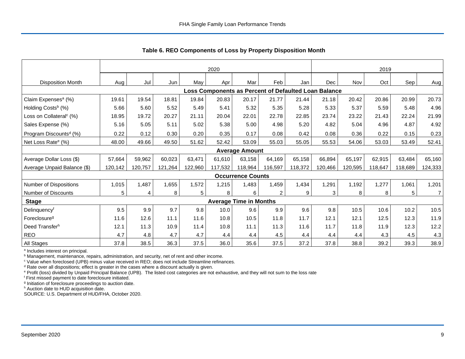|                                     |         | 2020    |         |         |         |                               |                |                                                      | 2019    |         |         |         |                |
|-------------------------------------|---------|---------|---------|---------|---------|-------------------------------|----------------|------------------------------------------------------|---------|---------|---------|---------|----------------|
| <b>Disposition Month</b>            | Aug     | Jul     | Jun     | May     | Apr     | Mar                           | Feb            | Jan                                                  | Dec     | Nov     | Oct     | Sep     | Aug            |
|                                     |         |         |         |         |         |                               |                | Loss Components as Percent of Defaulted Loan Balance |         |         |         |         |                |
| Claim Expenses <sup>a</sup> (%)     | 19.61   | 19.54   | 18.81   | 19.84   | 20.83   | 20.17                         | 21.77          | 21.44                                                | 21.18   | 20.42   | 20.86   | 20.99   | 20.73          |
| Holding Costs <sup>b</sup> (%)      | 5.66    | 5.60    | 5.52    | 5.49    | 5.41    | 5.32                          | 5.35           | 5.28                                                 | 5.33    | 5.37    | 5.59    | 5.48    | 4.96           |
| Loss on Collateral <sup>c</sup> (%) | 18.95   | 19.72   | 20.27   | 21.11   | 20.04   | 22.01                         | 22.78          | 22.85                                                | 23.74   | 23.22   | 21.43   | 22.24   | 21.99          |
| Sales Expense (%)                   | 5.16    | 5.05    | 5.11    | 5.02    | 5.38    | 5.00                          | 4.98           | 5.20                                                 | 4.82    | 5.04    | 4.96    | 4.87    | 4.92           |
| Program Discounts <sup>d</sup> (%)  | 0.22    | 0.12    | 0.30    | 0.20    | 0.35    | 0.17                          | 0.08           | 0.42                                                 | 0.08    | 0.36    | 0.22    | 0.15    | 0.23           |
| Net Loss Rate <sup>e</sup> (%)      | 48.00   | 49.66   | 49.50   | 51.62   | 52.42   | 53.09                         | 55.03          | 55.05                                                | 55.53   | 54.06   | 53.03   | 53.49   | 52.41          |
|                                     |         |         |         |         |         | <b>Average Amount</b>         |                |                                                      |         |         |         |         |                |
| Average Dollar Loss (\$)            | 57,664  | 59,962  | 60,023  | 63,471  | 61,610  | 63,158                        | 64,169         | 65,158                                               | 66,894  | 65,197  | 62,915  | 63,484  | 65,160         |
| Average Unpaid Balance (\$)         | 120,142 | 120,757 | 121,264 | 122,960 | 117,532 | 118,964                       | 116,597        | 118,372                                              | 120,466 | 120,595 | 118,647 | 118,689 | 124,333        |
|                                     |         |         |         |         |         | <b>Occurrence Counts</b>      |                |                                                      |         |         |         |         |                |
| Number of Dispositions              | 1,015   | 1,487   | 1,655   | 1,572   | 1,215   | 1,483                         | 1,459          | 1,434                                                | 1,291   | 1,192   | 1,277   | 1,061   | 1,201          |
| Number of Discounts                 | 5       | 4       | 8       | 5       | 8       | 6                             | $\overline{2}$ | 9                                                    | 3       | 8       | 8       | 5       | $\overline{7}$ |
| <b>Stage</b>                        |         |         |         |         |         | <b>Average Time in Months</b> |                |                                                      |         |         |         |         |                |
| Delinquencyf                        | 9.5     | 9.9     | 9.7     | 9.8     | 10.0    | 9.6                           | 9.9            | 9.6                                                  | 9.8     | 10.5    | 10.6    | 10.2    | 10.5           |
| Foreclosure <sup>9</sup>            | 11.6    | 12.6    | 11.1    | 11.6    | 10.8    | 10.5                          | 11.8           | 11.7                                                 | 12.1    | 12.1    | 12.5    | 12.3    | 11.9           |
| Deed Transferh                      | 12.1    | 11.3    | 10.9    | 11.4    | 10.8    | 11.1                          | 11.3           | 11.6                                                 | 11.7    | 11.8    | 11.9    | 12.3    | 12.2           |
| <b>REO</b>                          | 4.7     | 4.8     | 4.7     | 4.7     | 4.4     | 4.4                           | 4.5            | 4.4                                                  | 4.4     | 4.4     | 4.3     | 4.5     | 4.3            |
| All Stages                          | 37.8    | 38.5    | 36.3    | 37.5    | 36.0    | 35.6                          | 37.5           | 37.2                                                 | 37.8    | 38.8    | 39.2    | 39.3    | 38.9           |

<span id="page-9-0"></span>**Table 6. REO Components of Loss by Property Disposition Month**

<sup>a</sup> Includes interest on principal.

**b** Management, maintenance, repairs, administration, and security, net of rent and other income.

<sup>c</sup> Value when foreclosed (UPB) minus value received in REO; does not include Streamline refinances.

<sup>d</sup> Rate over all dispositions; effect is greater in the cases where a discount actually is given.

<sup>e</sup> Profit (loss) divided by Unpaid Principal Balance (UPB). The listed cost categories are not exhaustive, and they will not sum to the loss rate

<sup>f</sup> First missed payment to date foreclosure initiated.

<sup>g</sup> Initiation of foreclosure proceedings to auction date.

h Auction date to HUD acquisition date.